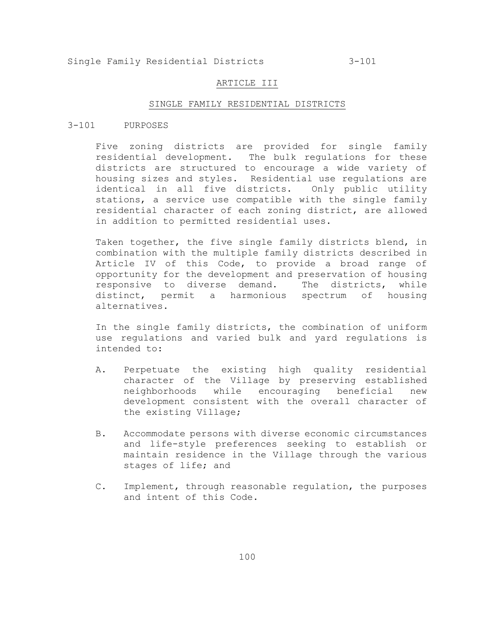### ARTICLE III

### SINGLE FAMILY RESIDENTIAL DISTRICTS

## 3-101 PURPOSES

Five zoning districts are provided for single family residential development. The bulk regulations for these districts are structured to encourage a wide variety of housing sizes and styles. Residential use regulations are identical in all five districts. Only public utility stations, a service use compatible with the single family residential character of each zoning district, are allowed in addition to permitted residential uses.

Taken together, the five single family districts blend, in combination with the multiple family districts described in Article IV of this Code, to provide a broad range of opportunity for the development and preservation of housing responsive to diverse demand. The districts, while distinct, permit a harmonious spectrum of housing alternatives.

In the single family districts, the combination of uniform use regulations and varied bulk and yard regulations is intended to:

- A. Perpetuate the existing high quality residential character of the Village by preserving established neighborhoods while encouraging beneficial new development consistent with the overall character of the existing Village;
- B. Accommodate persons with diverse economic circumstances and life-style preferences seeking to establish or maintain residence in the Village through the various stages of life; and
- C. Implement, through reasonable regulation, the purposes and intent of this Code.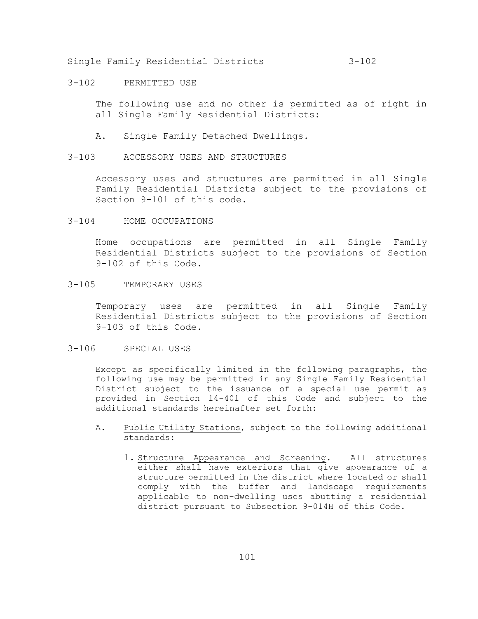3-102 PERMITTED USE

The following use and no other is permitted as of right in all Single Family Residential Districts:

- A. Single Family Detached Dwellings.
- 3-103 ACCESSORY USES AND STRUCTURES

Accessory uses and structures are permitted in all Single Family Residential Districts subject to the provisions of Section 9-101 of this code.

3-104 HOME OCCUPATIONS

Home occupations are permitted in all Single Family Residential Districts subject to the provisions of Section 9-102 of this Code.

3-105 TEMPORARY USES

Temporary uses are permitted in all Single Family Residential Districts subject to the provisions of Section 9-103 of this Code.

3-106 SPECIAL USES

Except as specifically limited in the following paragraphs, the following use may be permitted in any Single Family Residential District subject to the issuance of a special use permit as provided in Section 14-401 of this Code and subject to the additional standards hereinafter set forth:

- A. Public Utility Stations, subject to the following additional standards:
	- 1. Structure Appearance and Screening. All structures either shall have exteriors that give appearance of a structure permitted in the district where located or shall comply with the buffer and landscape requirements applicable to non-dwelling uses abutting a residential district pursuant to Subsection 9-014H of this Code.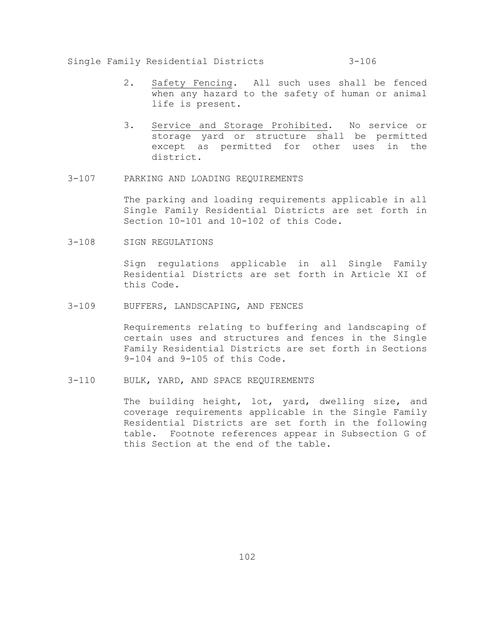- 2. Safety Fencing. All such uses shall be fenced when any hazard to the safety of human or animal life is present.
- 3. Service and Storage Prohibited. No service or storage yard or structure shall be permitted except as permitted for other uses in the district.
- 3-107 PARKING AND LOADING REQUIREMENTS

The parking and loading requirements applicable in all Single Family Residential Districts are set forth in Section 10-101 and 10-102 of this Code.

3-108 SIGN REGULATIONS

Sign regulations applicable in all Single Family Residential Districts are set forth in Article XI of this Code.

3-109 BUFFERS, LANDSCAPING, AND FENCES

Requirements relating to buffering and landscaping of certain uses and structures and fences in the Single Family Residential Districts are set forth in Sections 9-104 and 9-105 of this Code.

3-110 BULK, YARD, AND SPACE REQUIREMENTS

The building height, lot, yard, dwelling size, and coverage requirements applicable in the Single Family Residential Districts are set forth in the following table. Footnote references appear in Subsection G of this Section at the end of the table.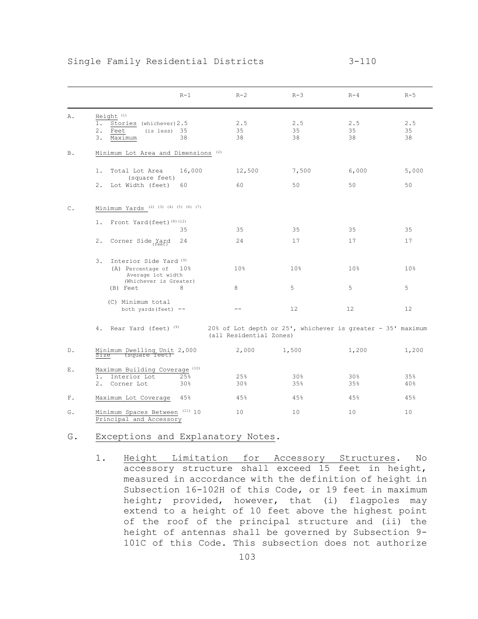|               | $R-1$                                                                                                                          | $R-2$                                                                                  | $R-3$           | $R-4$           | $R-5$           |
|---------------|--------------------------------------------------------------------------------------------------------------------------------|----------------------------------------------------------------------------------------|-----------------|-----------------|-----------------|
| Α.            | Height <sup>(1)</sup><br>$1$ .<br>Stories (whichever) 2.5<br>2.<br>Feet<br>35<br>(is less)<br>38<br>3.<br>Maximum              | 2.5<br>35<br>38                                                                        | 2.5<br>35<br>38 | 2.5<br>35<br>38 | 2.5<br>35<br>38 |
| <b>B.</b>     | Minimum Lot Area and Dimensions <sup>(2)</sup>                                                                                 |                                                                                        |                 |                 |                 |
|               | 16,000<br>$1$ .<br>Total Lot Area<br>(square feet)<br>2.<br>Lot Width (feet)<br>60                                             | 12,500<br>60                                                                           | 7,500<br>50     | 6,000<br>50     | 5,000<br>50     |
| $\mathbb C$ . | Minimum Yards $(2)$ $(3)$ $(4)$ $(5)$ $(6)$ $(7)$                                                                              |                                                                                        |                 |                 |                 |
|               | Front Yard (feet) <sup>(8)(12)</sup><br>$1$ .<br>35                                                                            | 35                                                                                     | 35              | 35              | 35              |
|               | 2.<br>24<br>Corner Side Yard                                                                                                   | 24                                                                                     | 17              | 17              | 17              |
|               | Interior Side Yard <sup>(9)</sup><br>3.<br>(A) Percentage of<br>10 <sub>8</sub><br>Average lot width<br>(Whichever is Greater) | 10%                                                                                    | 10 <sub>8</sub> | 10 <sub>8</sub> | 10 <sub>8</sub> |
|               | 8<br>(B) Feet                                                                                                                  | 8                                                                                      | 5               | 5               | 5               |
|               | (C) Minimum total<br>both yards (feet) $--$                                                                                    | $ -$                                                                                   | 12              | 12              | 12              |
|               | 4. Rear Yard (feet) <sup>(9)</sup>                                                                                             | 20% of Lot depth or 25', whichever is greater - 35' maximum<br>(all Residential Zones) |                 |                 |                 |
| D.            | Minimum Dwelling Unit 2,000<br>Size (square feet)                                                                              | 2,000                                                                                  | 1,500           | 1,200           | 1,200           |
| Ε.            | Maximum Building Coverage <sup>(10)</sup><br>Interior Lot<br>25%<br>$1$ .<br>2.<br>Corner Lot<br>30%                           | 25%<br>30%                                                                             | 30%<br>35%      | 30%<br>35%      | 35%<br>40%      |
| ${\bf F}$ .   | Maximum Lot Coverage<br>45%                                                                                                    | 45%                                                                                    | 45%             | 45%             | 45%             |
| G.            | Minimum Spaces Between (11) 10                                                                                                 | 10                                                                                     | 10              | 10              | 10              |

G. Exceptions and Explanatory Notes.

Principal and Accessory

1. Height Limitation for Accessory Structures. No accessory structure shall exceed 15 feet in height, measured in accordance with the definition of height in Subsection 16-102H of this Code, or 19 feet in maximum height; provided, however, that (i) flagpoles may extend to a height of 10 feet above the highest point of the roof of the principal structure and (ii) the height of antennas shall be governed by Subsection 9- 101C of this Code. This subsection does not authorize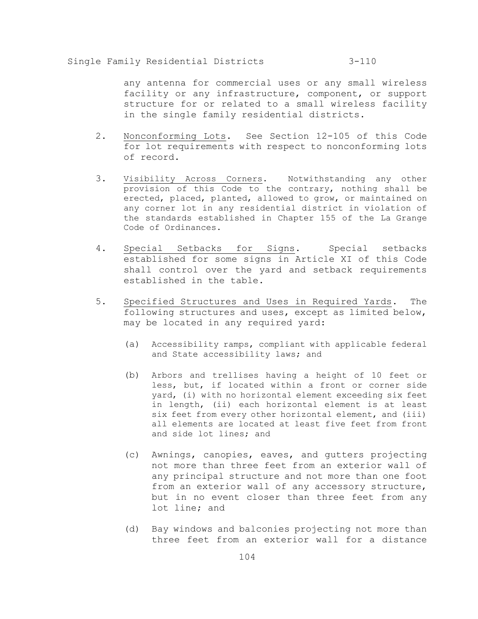any antenna for commercial uses or any small wireless facility or any infrastructure, component, or support structure for or related to a small wireless facility in the single family residential districts.

- 2. Nonconforming Lots. See Section 12-105 of this Code for lot requirements with respect to nonconforming lots of record.
- 3. Visibility Across Corners. Notwithstanding any other provision of this Code to the contrary, nothing shall be erected, placed, planted, allowed to grow, or maintained on any corner lot in any residential district in violation of the standards established in Chapter 155 of the La Grange Code of Ordinances.
- 4. Special Setbacks for Signs. Special setbacks established for some signs in Article XI of this Code shall control over the yard and setback requirements established in the table.
- 5. Specified Structures and Uses in Required Yards. The following structures and uses, except as limited below, may be located in any required yard:
	- (a) Accessibility ramps, compliant with applicable federal and State accessibility laws; and
	- (b) Arbors and trellises having a height of 10 feet or less, but, if located within a front or corner side yard, (i) with no horizontal element exceeding six feet in length, (ii) each horizontal element is at least six feet from every other horizontal element, and (iii) all elements are located at least five feet from front and side lot lines; and
	- (c) Awnings, canopies, eaves, and gutters projecting not more than three feet from an exterior wall of any principal structure and not more than one foot from an exterior wall of any accessory structure, but in no event closer than three feet from any lot line; and
	- (d) Bay windows and balconies projecting not more than three feet from an exterior wall for a distance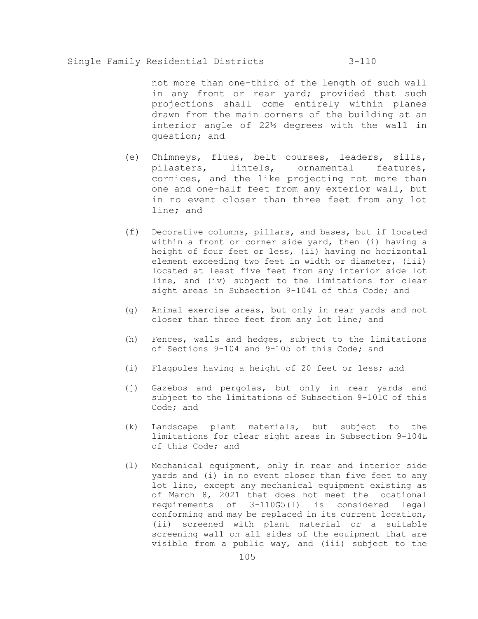not more than one-third of the length of such wall in any front or rear yard; provided that such projections shall come entirely within planes drawn from the main corners of the building at an interior angle of 22½ degrees with the wall in question; and

- (e) Chimneys, flues, belt courses, leaders, sills, pilasters, lintels, ornamental features, cornices, and the like projecting not more than one and one-half feet from any exterior wall, but in no event closer than three feet from any lot line; and
- (f) Decorative columns, pillars, and bases, but if located within a front or corner side yard, then (i) having a height of four feet or less, (ii) having no horizontal element exceeding two feet in width or diameter, (iii) located at least five feet from any interior side lot line, and (iv) subject to the limitations for clear sight areas in Subsection 9-104L of this Code; and
- (g) Animal exercise areas, but only in rear yards and not closer than three feet from any lot line; and
- (h) Fences, walls and hedges, subject to the limitations of Sections 9-104 and 9-105 of this Code; and
- (i) Flagpoles having a height of 20 feet or less; and
- (j) Gazebos and pergolas, but only in rear yards and subject to the limitations of Subsection 9-101C of this Code; and
- (k) Landscape plant materials, but subject to the limitations for clear sight areas in Subsection 9-104L of this Code; and
- (l) Mechanical equipment, only in rear and interior side yards and (i) in no event closer than five feet to any lot line, except any mechanical equipment existing as of March 8, 2021 that does not meet the locational requirements of 3-110G5(l) is considered legal conforming and may be replaced in its current location, (ii) screened with plant material or a suitable screening wall on all sides of the equipment that are visible from a public way, and (iii) subject to the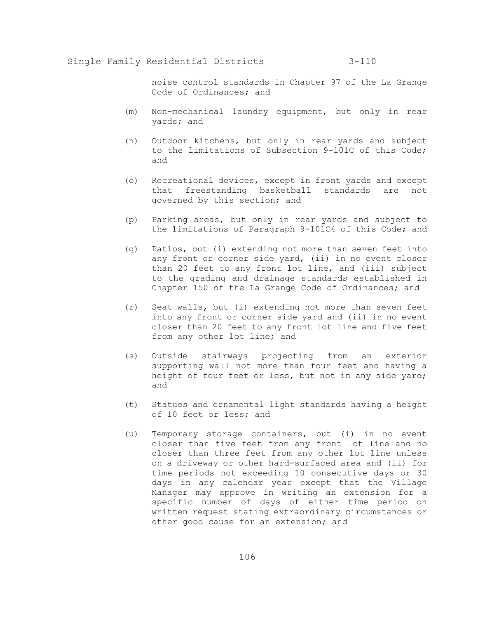noise control standards in Chapter 97 of the La Grange Code of Ordinances; and

- (m) Non-mechanical laundry equipment, but only in rear yards; and
- (n) Outdoor kitchens, but only in rear yards and subject to the limitations of Subsection 9-101C of this Code; and
- (o) Recreational devices, except in front yards and except that freestanding basketball standards are not governed by this section; and
- (p) Parking areas, but only in rear yards and subject to the limitations of Paragraph 9-101C4 of this Code; and
- (q) Patios, but (i) extending not more than seven feet into any front or corner side yard, (ii) in no event closer than 20 feet to any front lot line, and (iii) subject to the grading and drainage standards established in Chapter 150 of the La Grange Code of Ordinances; and
- (r) Seat walls, but (i) extending not more than seven feet into any front or corner side yard and (ii) in no event closer than 20 feet to any front lot line and five feet from any other lot line; and
- (s) Outside stairways projecting from an exterior supporting wall not more than four feet and having a height of four feet or less, but not in any side yard; and
- (t) Statues and ornamental light standards having a height of 10 feet or less; and
- (u) Temporary storage containers, but (i) in no event closer than five feet from any front lot line and no closer than three feet from any other lot line unless on a driveway or other hard-surfaced area and (ii) for time periods not exceeding 10 consecutive days or 30 days in any calendar year except that the Village Manager may approve in writing an extension for a specific number of days of either time period on written request stating extraordinary circumstances or other good cause for an extension; and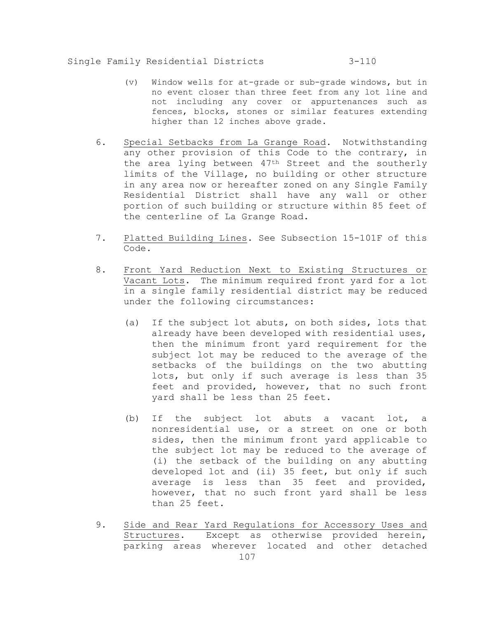- (v) Window wells for at-grade or sub-grade windows, but in no event closer than three feet from any lot line and not including any cover or appurtenances such as fences, blocks, stones or similar features extending higher than 12 inches above grade.
- 6. Special Setbacks from La Grange Road. Notwithstanding any other provision of this Code to the contrary, in the area lying between 47th Street and the southerly limits of the Village, no building or other structure in any area now or hereafter zoned on any Single Family Residential District shall have any wall or other portion of such building or structure within 85 feet of the centerline of La Grange Road.
- 7. Platted Building Lines. See Subsection 15-101F of this Code.
- 8. Front Yard Reduction Next to Existing Structures or Vacant Lots. The minimum required front yard for a lot in a single family residential district may be reduced under the following circumstances:
	- (a) If the subject lot abuts, on both sides, lots that already have been developed with residential uses, then the minimum front yard requirement for the subject lot may be reduced to the average of the setbacks of the buildings on the two abutting lots, but only if such average is less than 35 feet and provided, however, that no such front yard shall be less than 25 feet.
	- (b) If the subject lot abuts a vacant lot, a nonresidential use, or a street on one or both sides, then the minimum front yard applicable to the subject lot may be reduced to the average of (i) the setback of the building on any abutting developed lot and (ii) 35 feet, but only if such average is less than 35 feet and provided, however, that no such front yard shall be less than 25 feet.
- 107 9. Side and Rear Yard Regulations for Accessory Uses and Structures. Except as otherwise provided herein, parking areas wherever located and other detached